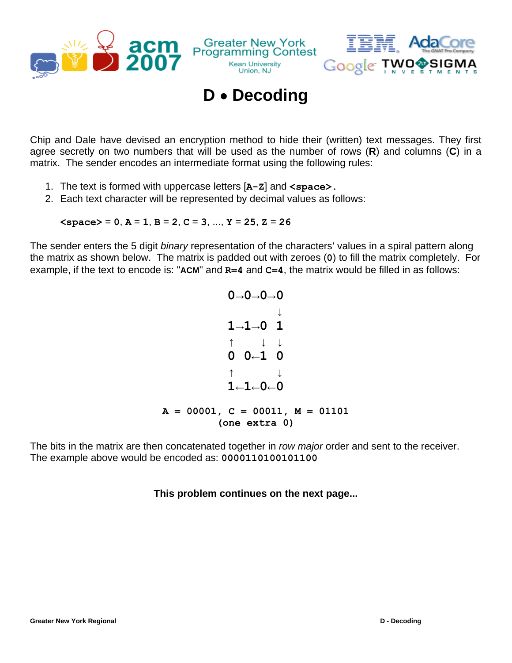



## **D** • **Decoding**

**Kean University** 

Union, NJ

Chip and Dale have devised an encryption method to hide their (written) text messages. They first agree secretly on two numbers that will be used as the number of rows (**R**) and columns (**C**) in a matrix. The sender encodes an intermediate format using the following rules:

- 1. The text is formed with uppercase letters [**A-Z**] and **<space>.**
- 2. Each text character will be represented by decimal values as follows:

 $\langle$ space $\rangle$  = 0,  $A = 1$ ,  $B = 2$ ,  $C = 3$ , ...,  $Y = 25$ ,  $Z = 26$ 

The sender enters the 5 digit *binary* representation of the characters' values in a spiral pattern along the matrix as shown below. The matrix is padded out with zeroes (**0**) to fill the matrix completely. For example, if the text to encode is: "**ACM**" and **R=4** and **C=4**, the matrix would be filled in as follows:

$$
0 \rightarrow 0 \rightarrow 0 \rightarrow 0
$$
\n
$$
1 \rightarrow 1 \rightarrow 0 \quad 1
$$
\n
$$
\uparrow \qquad \downarrow \qquad \downarrow
$$
\n
$$
0 \quad 0 \leftarrow 1 \quad 0
$$
\n
$$
\uparrow \qquad \downarrow \qquad \downarrow
$$
\n
$$
1 \leftarrow 1 \leftarrow 0 \leftarrow 0
$$
\n
$$
A = 00001, C = 00011, M = 01101
$$
\n(one extra 0)

The bits in the matrix are then concatenated together in *row major* order and sent to the receiver. The example above would be encoded as: **0000110100101100**

## **This problem continues on the next page...**